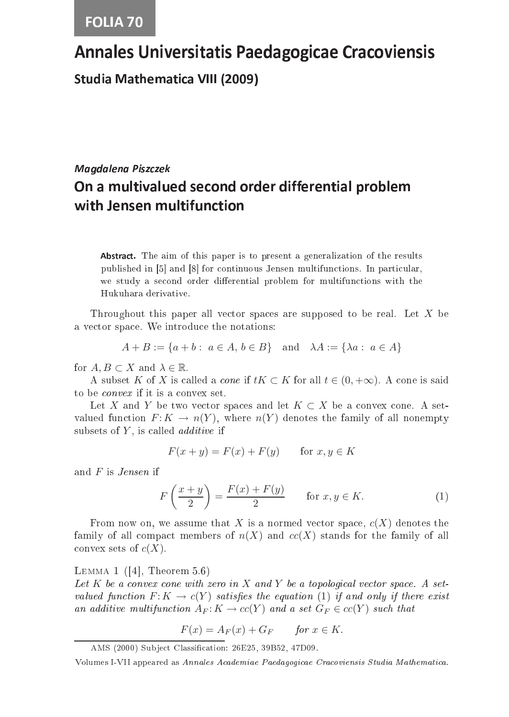# Annales Universitatis Paedagogicae Cracoviensis

**Studia Mathematica VIII (2009)** Studia Mathemati
a VIII (2009)

### Magdalena Pisz
zek

## On <sup>a</sup> multivalued se
ond order differential problem with Jensen multifunction

Abstract. The aim of this paper is to present a generalization of the results published in [5] and [8] for continuous Jensen multifunctions. In particular, we study a second order differential problem for multifunctions with the Hukuhara derivative.

Throughout this paper all vector spaces are supposed to be real. Let  $X$  be a ve
tor spa
e. We introdu
e the notations:

$$
A + B := \{a + b : a \in A, b \in B\} \text{ and } \lambda A := \{\lambda a : a \in A\}
$$

for  $A, B \subset X$  and  $\lambda \in \mathbb{R}$ .

A subset K of X is called a *cone* if  $tK \subset K$  for all  $t \in (0, +\infty)$ . A cone is said to be *convex* if it is a convex set.

Let X and Y be two vector spaces and let  $K \subset X$  be a convex cone. A setvalued function  $F: K \to n(Y)$ , where  $n(Y)$  denotes the family of all nonempty subsets of  $Y$ , is called *additive* if

$$
F(x + y) = F(x) + F(y) \qquad \text{for } x, y \in K
$$

and F is Jensen if

$$
F\left(\frac{x+y}{2}\right) = \frac{F(x) + F(y)}{2} \quad \text{for } x, y \in K.
$$
 (1)

From now on, we assume that X is a normed vector space,  $c(X)$  denotes the family of all compact members of  $n(X)$  and  $cc(X)$  stands for the family of all convex sets of  $c(X)$ .

LEMMA 1  $([4],$  Theorem 5.6)

Let K be a convex cone with zero in X and Y be a topological vector space. A setvalued function  $F: K \to c(Y)$  satisfies the equation (1) if and only if there exist an additive multifunction  $A_F: K \to cc(Y)$  and a set  $G_F \in cc(Y)$  such that

 $F(x) = A_F(x) + G_F$  for  $x \in K$ .

AMS (2000) Subject Classification: 26E25, 39B52, 47D09.

Volumes I-VII appeared as Annales Academiae Paedagogicae Cracoviensis Studia Mathematica.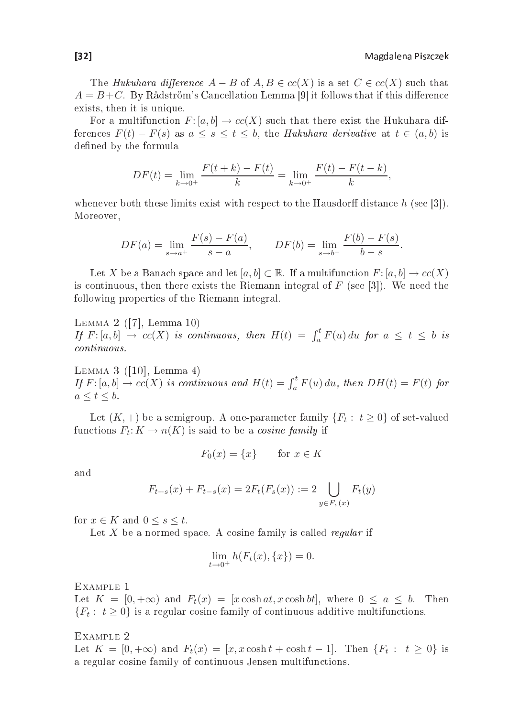The Hukuhara difference  $A - B$  of  $A, B \in cc(X)$  is a set  $C \in cc(X)$  such that  $A = B + C$ . By Rådström's Cancellation Lemma [9] it follows that if this difference exists, then it is unique.

For a multifunction  $F: [a, b] \to cc(X)$  such that there exist the Hukuhara differences  $F(t) - F(s)$  as  $a \leq s \leq t \leq b$ , the Hukuhara derivative at  $t \in (a, b)$  is defined by the formula

$$
DF(t) = \lim_{k \to 0^+} \frac{F(t+k) - F(t)}{k} = \lim_{k \to 0^+} \frac{F(t) - F(t-k)}{k},
$$

whenever both these limits exist with respect to the Hausdorff distance  $h$  (see [3]). Moreover,

$$
DF(a) = \lim_{s \to a^{+}} \frac{F(s) - F(a)}{s - a}, \qquad DF(b) = \lim_{s \to b^{-}} \frac{F(b) - F(s)}{b - s}.
$$

Let X be a Banach space and let  $[a, b] \subset \mathbb{R}$ . If a multifunction  $F: [a, b] \to cc(X)$ is continuous, then there exists the Riemann integral of  $F$  (see [3]). We need the following properties of the Riemann integral.

If  $F: [a, b] \rightarrow cc(X)$  is continuous, then  $H(t) = \int_a^t F(u) du$  for  $a \le t \le b$  is ontinuous.

LEMMA  $3$  ([10], Lemma 4) If  $F: [a, b] \to cc(X)$  is continuous and  $H(t) = \int_a^t F(u) du$ , then  $DH(t) = F(t)$  for  $a \leq t \leq b$ .

Let  $(K, +)$  be a semigroup. A one-parameter family  $\{F_t : t \geq 0\}$  of set-valued functions  $F_t: K \to n(K)$  is said to be a *cosine family* if

$$
F_0(x) = \{x\} \qquad \text{for } x \in K
$$

and

$$
F_{t+s}(x) + F_{t-s}(x) = 2F_t(F_s(x)) := 2 \bigcup_{y \in F_s(x)} F_t(y)
$$

for  $x \in K$  and  $0 \leq s \leq t$ .

Let  $X$  be a normed space. A cosine family is called *regular* if

$$
\lim_{t \to 0^+} h(F_t(x), \{x\}) = 0.
$$

EXAMPLE 1

Let  $K = [0, +\infty)$  and  $F_t(x) = [x \cosh at, x \cosh bt]$ , where  $0 \le a \le b$ . Then  ${F_t: t > 0}$  is a regular cosine family of continuous additive multifunctions.

#### EXAMPLE 2

Let  $K = [0, +\infty)$  and  $F_t(x) = [x, x \cosh t + \cosh t - 1]$ . Then  $\{F_t : t \geq 0\}$  is a regular cosine family of continuous Jensen multifunctions.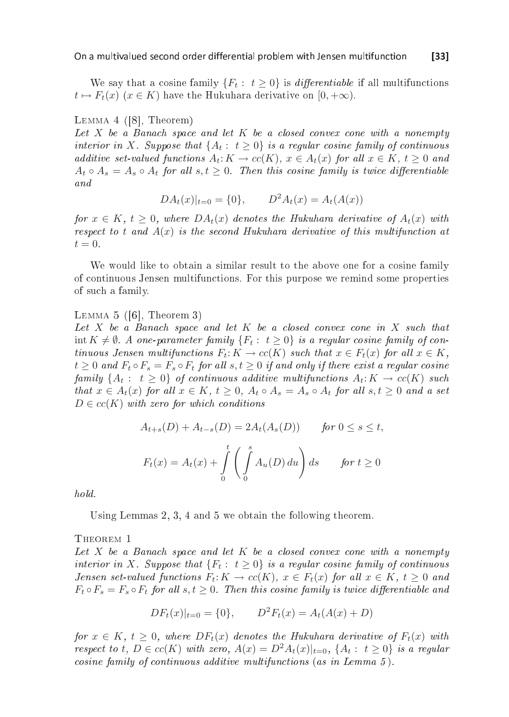We say that a cosine family  $\{F_t : t \geq 0\}$  is *differentiable* if all multifunctions  $t \mapsto F_t(x)$  ( $x \in K$ ) have the Hukuhara derivative on [0, + $\infty$ ).

#### LEMMA  $4$  ([8], Theorem)

Let  $X$  be a Banach space and let  $K$  be a closed convex cone with a nonempty interior in X. Suppose that  $\{A_t : t \geq 0\}$  is a regular cosine family of continuous additive set-valued functions  $A_t: K \to cc(K)$ ,  $x \in A_t(x)$  for all  $x \in K$ ,  $t > 0$  and  $A_t \circ A_s = A_s \circ A_t$  for all  $s, t \geq 0$ . Then this cosine family is twice differentiable

$$
DA_t(x)|_{t=0} = \{0\}, \qquad D^2A_t(x) = A_t(A(x))
$$

for  $x \in K$ ,  $t \geq 0$ , where  $DA_t(x)$  denotes the Hukuhara derivative of  $A_t(x)$  with respect to t and  $A(x)$  is the second Hukuhara derivative of this multifunction at  $t=0.$ 

We would like to obtain a similar result to the above one for a cosine family of ontinuous Jensen multifun
tions. For this purpose we remind some properties of su
h a family.

#### LEMMA  $5$  ([6], Theorem 3)

Let X be a Banach space and let K be a closed convex cone in X such that int  $K \neq \emptyset$ . A one-parameter family  $\{F_t : t > 0\}$  is a regular cosine family of continuous Jensen multifunctions  $F_t: K \to cc(K)$  such that  $x \in F_t(x)$  for all  $x \in K$ ,  $t > 0$  and  $F_t \circ F_s = F_s \circ F_t$  for all  $s, t > 0$  if and only if there exist a regular cosine family  $\{A_t: t \geq 0\}$  of continuous additive multifunctions  $A_t: K \to cc(K)$  such that  $x \in A_t(x)$  for all  $x \in K$ ,  $t \geq 0$ ,  $A_t \circ A_s = A_s \circ A_t$  for all  $s, t \geq 0$  and a set  $D \in cc(K)$  with zero for which conditions

$$
A_{t+s}(D) + A_{t-s}(D) = 2A_t(A_s(D)) \quad \text{for } 0 \le s \le t,
$$

$$
F_t(x) = A_t(x) + \int_0^t \left( \int_0^s A_u(D) \, du \right) ds \quad \text{for } t \ge 0
$$

 $hold.$ 

Using Lemmas 2, 3, 4 and 5 we obtain the following theorem.

THEOREM 1

Let X be a Banach space and let K be a closed convex cone with a nonempty interior in X. Suppose that  $\{F_t : t \geq 0\}$  is a regular cosine family of continuous *Jensen set-valued functions*  $F_t: K \to cc(K)$ ,  $x \in F_t(x)$  for all  $x \in K$ ,  $t \geq 0$  and  $F_t \circ F_s = F_s \circ F_t$  for all  $s, t > 0$ . Then this cosine family is twice differentiable and

$$
DF_t(x)|_{t=0} = \{0\}, \qquad D^2F_t(x) = A_t(A(x) + D)
$$

for  $x \in K$ ,  $t \geq 0$ , where  $DF_t(x)$  denotes the Hukuhara derivative of  $F_t(x)$  with respect to t,  $D \in cc(K)$  with zero,  $A(x) = D^2 A_t(x)|_{t=0}$ ,  $\{A_t : t \ge 0\}$  is a regular cosine family of continuous additive multifunctions (as in Lemma 5).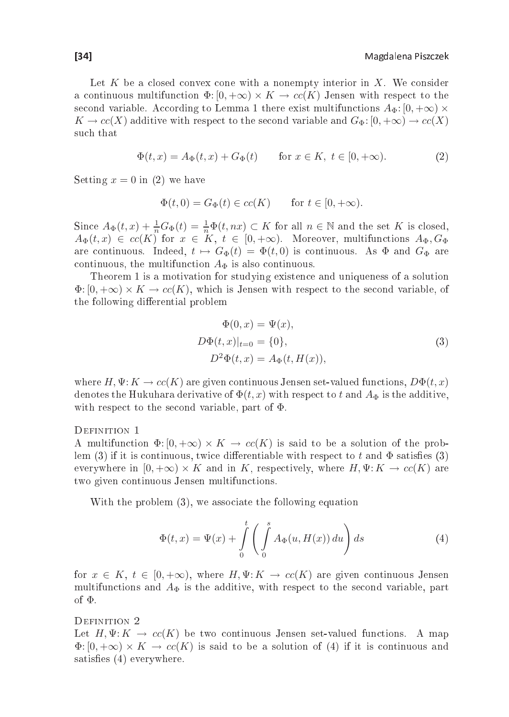Let K be a closed convex cone with a nonempty interior in X. We consider a continuous multifunction  $\Phi: [0, +\infty) \times K \to cc(K)$  Jensen with respect to the second variable. According to Lemma 1 there exist multifunctions  $A_{\Phi}$ : [0, + $\infty$ ) ×  $K \to cc(X)$  additive with respect to the second variable and  $G_{\Phi}: [0, +\infty) \to cc(X)$ such that

$$
\Phi(t, x) = A_{\Phi}(t, x) + G_{\Phi}(t) \quad \text{for } x \in K, \ t \in [0, +\infty). \tag{2}
$$

Setting  $x = 0$  in (2) we have

$$
\Phi(t,0) = G_{\Phi}(t) \in cc(K) \quad \text{for } t \in [0, +\infty).
$$

Since  $A_{\Phi}(t,x) + \frac{1}{n}G_{\Phi}(t) = \frac{1}{n}\Phi(t, nx) \subset K$  for all  $n \in \mathbb{N}$  and the set K is closed,  $A_{\Phi}(t,x) \in cc(K)$  for  $x \in K$ ,  $t \in [0,+\infty)$ . Moreover, multifunctions  $A_{\Phi}, G_{\Phi}$ are continuous. Indeed,  $t \mapsto G_{\Phi}(t) = \Phi(t, 0)$  is continuous. As  $\Phi$  and  $G_{\Phi}$  are continuous, the multifunction  $A_{\Phi}$  is also continuous.

Theorem 1 is a motivation for studying existen
e and uniqueness of a solution  $\Phi: [0, +\infty) \times K \to cc(K)$ , which is Jensen with respect to the second variable, of the following differential problem

$$
\Phi(0, x) = \Psi(x),
$$
  
\n
$$
D\Phi(t, x)|_{t=0} = \{0\},
$$
  
\n
$$
D^2\Phi(t, x) = A_{\Phi}(t, H(x)),
$$
\n(3)

where  $H, \Psi: K \to cc(K)$  are given continuous Jensen set-valued functions,  $D\Phi(t, x)$ denotes the Hukuhara derivative of  $\Phi(t, x)$  with respect to t and  $A_{\Phi}$  is the additive, with respect to the second variable, part of  $\Phi$ .

#### DEFINITION 1

A multifunction  $\Phi: [0, +\infty) \times K \to cc(K)$  is said to be a solution of the problem (3) if it is continuous, twice differentiable with respect to t and  $\Phi$  satisfies (3) everywhere in  $[0, +\infty) \times K$  and in K, respectively, where  $H, \Psi: K \to cc(K)$  are two given continuous Jensen multifunctions.

With the problem  $(3)$ , we associate the following equation

$$
\Phi(t,x) = \Psi(x) + \int_{0}^{t} \left( \int_{0}^{s} A_{\Phi}(u, H(x)) du \right) ds \tag{4}
$$

for  $x \in K$ ,  $t \in [0, +\infty)$ , where  $H, \Psi: K \to cc(K)$  are given continuous Jensen multifunctions and  $A_{\Phi}$  is the additive, with respect to the second variable, part of Φ.

Let  $H, \Psi: K \to cc(K)$  be two continuous Jensen set-valued functions. A map  $\Phi$ :  $[0, +\infty) \times K \to cc(K)$  is said to be a solution of (4) if it is continuous and satisfies  $(4)$  everywhere.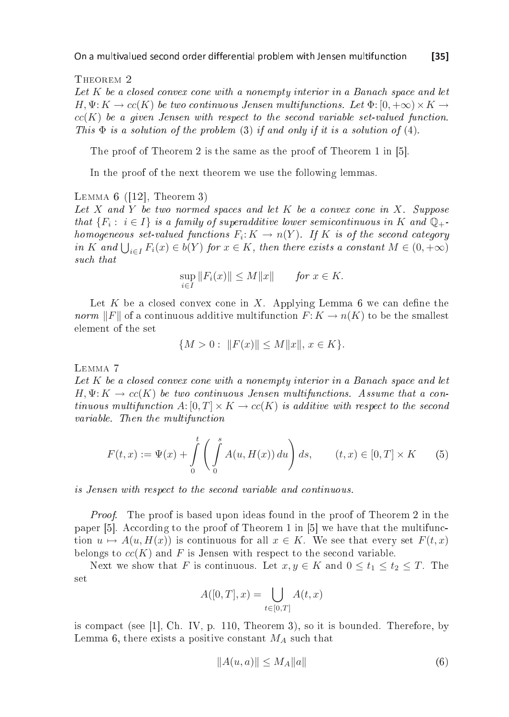THEOREM<sub>2</sub>

Let K be a closed convex cone with a nonempty interior in a Banach space and let  $H, \Psi: K \to cc(K)$  be two continuous Jensen multifunctions. Let  $\Phi: [0, +\infty) \times K \to$  $cc(K)$  be a given Jensen with respect to the second variable set-valued function. This  $\Phi$  is a solution of the problem (3) if and only if it is a solution of (4).

The proof of Theorem 2 is the same as the proof of Theorem 1 in  $[5]$ .

In the proof of the next theorem we use the following lemmas.

LEMMA  $6$  ([12], Theorem 3)

Let  $X$  and  $Y$  be two normed spaces and let  $K$  be a convex cone in  $X$ . Suppose that  $\{F_i:~i\in I\}$  is a family of superadditive lower semicontinuous in  $K$  and  $\mathbb{Q}_+$ homogeneous set-valued functions  $F_i\colon K\to n(Y)$ . If  $K$  is of the second category in K and  $\bigcup_{i\in I} F_i(x) \in b(Y)$  for  $x \in K$ , then there exists a constant  $M \in (0, +\infty)$ such that

$$
\sup_{i \in I} ||F_i(x)|| \le M ||x|| \quad \text{for } x \in K.
$$

Let K be a closed convex cone in X. Applying Lemma 6 we can define the *norm* ||F|| of a continuous additive multifunction  $F: K \to n(K)$  to be the smallest element of the set

$$
\{M > 0: \|F(x)\| \le M \|x\|, x \in K\}.
$$

LEMMA<sub>7</sub>

Let  $K$  be a closed convex cone with a nonempty interior in a Banach space and let  $H, \Psi$ :  $K \to cc(K)$  be two continuous Jensen multifunctions. Assume that a continuous multifunction  $A: [0, T] \times K \to cc(K)$  is additive with respect to the second variable. Then the multifunction

$$
F(t, x) := \Psi(x) + \int_{0}^{t} \left( \int_{0}^{s} A(u, H(x)) du \right) ds, \qquad (t, x) \in [0, T] \times K \qquad (5)
$$

is Jensen with respect to the second variable and continuous.

Proof. The proof is based upon ideas found in the proof of Theorem 2 in the paper [5]. According to the proof of Theorem 1 in [5] we have that the multifunction  $u \mapsto A(u, H(x))$  is continuous for all  $x \in K$ . We see that every set  $F(t, x)$ belongs to  $cc(K)$  and F is Jensen with respect to the second variable.

Next we show that F is continuous. Let  $x, y \in K$  and  $0 \le t_1 \le t_2 \le T$ . The set

$$
A([0, T], x) = \bigcup_{t \in [0, T]} A(t, x)
$$

is compact (see [1], Ch. IV, p. 110, Theorem 3), so it is bounded. Therefore, by Lemma 6, there exists a positive constant  $M_A$  such that

$$
||A(u,a)|| \le M_A ||a|| \tag{6}
$$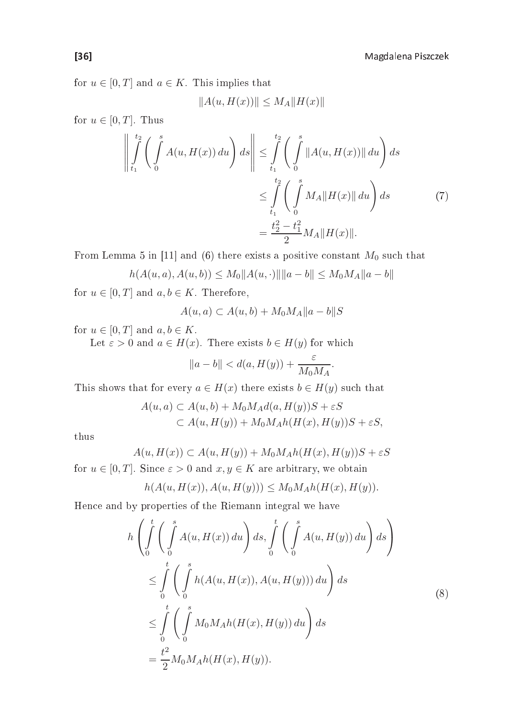for  $u \in [0, T]$  and  $a \in K$ . This implies that

$$
||A(u,H(x))|| \leq M_A ||H(x)||
$$

for  $u \in [0, T]$ . Thus

$$
\left\| \int_{t_1}^{t_2} \left( \int_{0}^{s} A(u, H(x)) du \right) ds \right\| \leq \int_{t_1}^{t_2} \left( \int_{0}^{s} \|A(u, H(x))\| du \right) ds
$$
  

$$
\leq \int_{t_1}^{t_2} \left( \int_{0}^{s} M_A \|H(x)\| du \right) ds
$$
  

$$
= \frac{t_2^2 - t_1^2}{2} M_A \|H(x)\|.
$$
 (7)

From Lemma 5 in [11] and (6) there exists a positive constant  $M_0$  such that

 $h(A(u, a), A(u, b)) \leq M_0 ||A(u, \cdot)|| ||a - b|| \leq M_0 M_A ||a - b||$ 

for  $u \in [0, T]$  and  $a, b \in K$ . Therefore,

$$
A(u, a) \subset A(u, b) + M_0 M_A ||a - b||S
$$

for  $u \in [0, T]$  and  $a, b \in K$ .

Let  $\varepsilon > 0$  and  $a \in H(x)$ . There exists  $b \in H(y)$  for which

$$
||a-b|| < d(a, H(y)) + \frac{\varepsilon}{M_0 M_A}.
$$

This shows that for every  $a \in H(x)$  there exists  $b \in H(y)$  such that

$$
A(u, a) \subset A(u, b) + M_0 M_A d(a, H(y))S + \varepsilon S
$$
  

$$
\subset A(u, H(y)) + M_0 M_A h(H(x), H(y))S + \varepsilon S,
$$

thus

$$
A(u, H(x)) \subset A(u, H(y)) + M_0 M_A h(H(x), H(y))S + \varepsilon S
$$

for  $u \in [0, T]$ . Since  $\varepsilon > 0$  and  $x, y \in K$  are arbitrary, we obtain

$$
h(A(u, H(x)), A(u, H(y))) \leq M_0 M_A h(H(x), H(y)).
$$

Hen
e and by properties of the Riemann integral we have

$$
h\left(\int_{0}^{t} \left(\int_{0}^{s} A(u, H(x)) du\right) ds, \int_{0}^{t} \left(\int_{0}^{s} A(u, H(y)) du\right) ds\right)
$$
  
\n
$$
\leq \int_{0}^{t} \left(\int_{0}^{s} h(A(u, H(x)), A(u, H(y))) du\right) ds
$$
  
\n
$$
\leq \int_{0}^{t} \left(\int_{0}^{s} M_{0} M_{A} h(H(x), H(y)) du\right) ds
$$
  
\n
$$
= \frac{t^{2}}{2} M_{0} M_{A} h(H(x), H(y)).
$$
\n(8)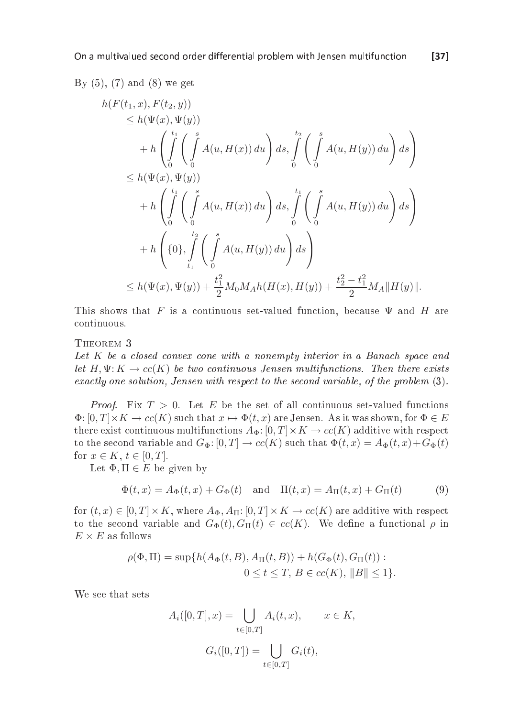$\blacksquare$ 

$$
h(F(t_1, x), F(t_2, y))
$$
  
\n
$$
\leq h(\Psi(x), \Psi(y))
$$
  
\n
$$
+ h\left(\int_{0}^{t_1} \left(\int_{0}^{s} A(u, H(x)) du\right) ds, \int_{0}^{t_2} \left(\int_{0}^{s} A(u, H(y)) du\right) ds\right)
$$
  
\n
$$
\leq h(\Psi(x), \Psi(y))
$$
  
\n
$$
+ h\left(\int_{0}^{t_1} \left(\int_{0}^{s} A(u, H(x)) du\right) ds, \int_{0}^{t_1} \left(\int_{0}^{s} A(u, H(y)) du\right) ds\right)
$$
  
\n
$$
+ h\left(\{0\}, \int_{t_1}^{t_2} \left(\int_{0}^{s} A(u, H(y)) du\right) ds\right)
$$
  
\n
$$
\leq h(\Psi(x), \Psi(y)) + \frac{t_1^2}{2} M_0 M_A h(H(x), H(y)) + \frac{t_2^2 - t_1^2}{2} M_A ||H(y)||.
$$

This shows that F is a continuous set-valued function, because  $\Psi$  and H are continuous

#### THEOREM<sub>3</sub>

Let  $K$  be a closed convex cone with a nonempty interior in a Banach space and let  $H, \Psi: K \to cc(K)$  be two continuous Jensen multifunctions. Then there exists exactly one solution, Jensen with respect to the second variable, of the problem (3).

*Proof.* Fix  $T > 0$ . Let E be the set of all continuous set-valued functions  $\Phi: [0,T] \times K \to cc(K)$  such that  $x \mapsto \Phi(t,x)$  are Jensen. As it was shown, for  $\Phi \in E$ there exist continuous multifunctions  $A_{\Phi}$ : [0, T] × K  $\rightarrow$  cc(K) additive with respect to the second variable and  $G_{\Phi}:[0,T] \to cc(K)$  such that  $\Phi(t,x) = A_{\Phi}(t,x) + G_{\Phi}(t)$ for  $x \in K$ ,  $t \in [0, T]$ .

Let  $\Phi, \Pi \in E$  be given by

$$
\Phi(t, x) = A_{\Phi}(t, x) + G_{\Phi}(t) \text{ and } \Pi(t, x) = A_{\Pi}(t, x) + G_{\Pi}(t) \tag{9}
$$

for  $(t, x) \in [0, T] \times K$ , where  $A_{\Phi}$ ,  $A_{\Pi}$ :  $[0, T] \times K \to cc(K)$  are additive with respect to the second variable and  $G_{\Phi}(t), G_{\Pi}(t) \in cc(K)$ . We define a functional  $\rho$  in  $E \times E$  as follows

$$
\rho(\Phi, \Pi) = \sup \{ h(A_{\Phi}(t, B), A_{\Pi}(t, B)) + h(G_{\Phi}(t), G_{\Pi}(t)) : 0 \le t \le T, B \in cc(K), ||B|| \le 1 \}.
$$

We see that sets

$$
A_i([0, T], x) = \bigcup_{t \in [0, T]} A_i(t, x), \qquad x \in K,
$$

$$
G_i([0, T]) = \bigcup_{t \in [0, T]} G_i(t),
$$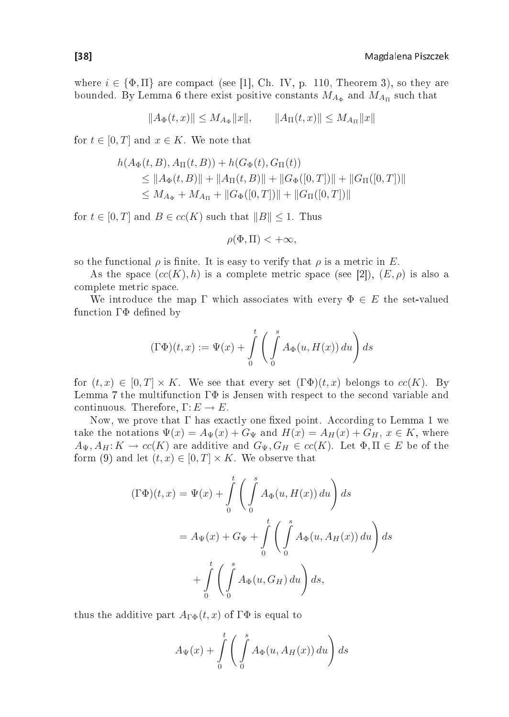where  $i \in {\Phi, \Pi}$  are compact (see [1], Ch. IV, p. 110, Theorem 3), so they are bounded. By Lemma 6 there exist positive constants  $M_{A_{\Phi}}$  and  $M_{A_{\Pi}}$  such that

$$
||A_{\Phi}(t,x)|| \le M_{A_{\Phi}} ||x||, \qquad ||A_{\Pi}(t,x)|| \le M_{A_{\Pi}} ||x||
$$

for  $t \in [0, T]$  and  $x \in K$ . We note that

$$
h(A_{\Phi}(t, B), A_{\Pi}(t, B)) + h(G_{\Phi}(t), G_{\Pi}(t))
$$
  
\n
$$
\leq \|A_{\Phi}(t, B)\| + \|A_{\Pi}(t, B)\| + \|G_{\Phi}([0, T])\| + \|G_{\Pi}([0, T])\|
$$
  
\n
$$
\leq M_{A_{\Phi}} + M_{A_{\Pi}} + \|G_{\Phi}([0, T])\| + \|G_{\Pi}([0, T])\|
$$

for  $t \in [0, T]$  and  $B \in cc(K)$  such that  $||B|| \leq 1$ . Thus

$$
\rho(\Phi,\Pi)<+\infty,
$$

so the functional  $\rho$  is finite. It is easy to verify that  $\rho$  is a metric in E.

As the space  $(cc(K), h)$  is a complete metric space (see [2]),  $(E, \rho)$  is also a complete metric space.

We introduce the map  $\Gamma$  which associates with every  $\Phi \in E$  the set-valued function  $\Gamma\Phi$  defined by

$$
(\Gamma\Phi)(t,x):=\Psi(x)+\int\limits_0^t\left(\int\limits_0^sA_\Phi(u,H(x))\,du\right)ds
$$

for  $(t, x) \in [0, T] \times K$ . We see that every set  $(\Gamma \Phi)(t, x)$  belongs to  $cc(K)$ . By Lemma 7 the multifunction ΓΦ is Jensen with respect to the second variable and continuous. Therefore,  $\Gamma: E \to E$ .

Now, we prove that  $\Gamma$  has exactly one fixed point. According to Lemma 1 we take the notations  $\Psi(x) = A_{\Psi}(x) + G_{\Psi}$  and  $H(x) = A_H(x) + G_H$ ,  $x \in K$ , where  $A_{\Psi}, A_H: K \to cc(K)$  are additive and  $G_{\Psi}, G_H \in cc(K)$ . Let  $\Phi, \Pi \in E$  be of the form (9) and let  $(t, x) \in [0, T] \times K$ . We observe that

$$
(\Gamma\Phi)(t,x) = \Psi(x) + \int_0^t \left( \int_0^s A_\Phi(u, H(x)) du \right) ds
$$
  
=  $A_\Psi(x) + G_\Psi + \int_0^t \left( \int_0^s A_\Phi(u, A_H(x)) du \right) ds$   
+  $\int_0^t \left( \int_0^s A_\Phi(u, G_H) du \right) ds$ ,

thus the additive part  $A_{\Gamma\Phi}(t, x)$  of  $\Gamma\Phi$  is equal to

$$
A_{\Psi}(x) + \int\limits_0^t \left( \int\limits_0^s A_{\Phi}(u, A_H(x)) du \right) ds
$$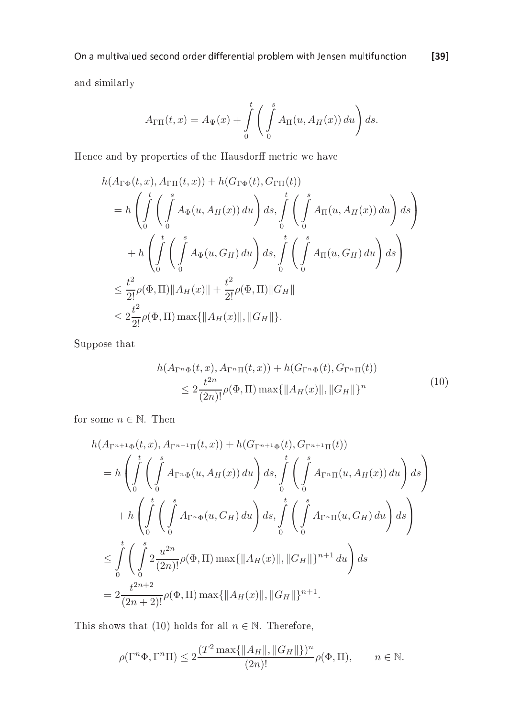and similarly

$$
A_{\Gamma\Pi}(t,x) = A_{\Psi}(x) + \int\limits_0^t \left( \int\limits_0^s A_{\Pi}(u, A_H(x)) du \right) ds.
$$

Hence and by properties of the Hausdorff metric we have

$$
h(A_{\Gamma\Phi}(t,x), A_{\Gamma\Pi}(t,x)) + h(G_{\Gamma\Phi}(t), G_{\Gamma\Pi}(t))
$$
  
\n
$$
= h\left(\int_{0}^{t} \left(\int_{0}^{s} A_{\Phi}(u, A_{H}(x)) du\right) ds, \int_{0}^{t} \left(\int_{0}^{s} A_{\Pi}(u, A_{H}(x)) du\right) ds\right)
$$
  
\n
$$
+ h\left(\int_{0}^{t} \left(\int_{0}^{s} A_{\Phi}(u, G_{H}) du\right) ds, \int_{0}^{t} \left(\int_{0}^{s} A_{\Pi}(u, G_{H}) du\right) ds\right)
$$
  
\n
$$
\leq \frac{t^{2}}{2!} \rho(\Phi, \Pi) \|A_{H}(x)\| + \frac{t^{2}}{2!} \rho(\Phi, \Pi) \|G_{H}\|
$$
  
\n
$$
\leq 2\frac{t^{2}}{2!} \rho(\Phi, \Pi) \max\{||A_{H}(x)||, ||G_{H}||\}.
$$

Suppose that

$$
h(A_{\Gamma^{n}\Phi}(t,x), A_{\Gamma^{n}\Pi}(t,x)) + h(G_{\Gamma^{n}\Phi}(t), G_{\Gamma^{n}\Pi}(t))
$$
  
 
$$
\leq 2 \frac{t^{2n}}{(2n)!} \rho(\Phi, \Pi) \max\{||A_{H}(x)||, ||G_{H}||\}^{n}
$$
 (10)

for some  $n \in \mathbb{N}$ . Then

$$
h(A_{\Gamma^{n+1}\Phi}(t,x), A_{\Gamma^{n+1}\Pi}(t,x)) + h(G_{\Gamma^{n+1}\Phi}(t), G_{\Gamma^{n+1}\Pi}(t))
$$
  
\n
$$
= h\left(\int_{0}^{t} \left(\int_{0}^{s} A_{\Gamma^{n}\Phi}(u, A_{H}(x)) du\right) ds, \int_{0}^{t} \left(\int_{0}^{s} A_{\Gamma^{n}\Pi}(u, A_{H}(x)) du\right) ds\right)
$$
  
\n
$$
+ h\left(\int_{0}^{t} \left(\int_{0}^{s} A_{\Gamma^{n}\Phi}(u, G_{H}) du\right) ds, \int_{0}^{t} \left(\int_{0}^{s} A_{\Gamma^{n}\Pi}(u, G_{H}) du\right) ds\right)
$$
  
\n
$$
\leq \int_{0}^{t} \left(\int_{0}^{s} 2 \frac{u^{2n}}{(2n)!} \rho(\Phi, \Pi) \max\{\|A_{H}(x)\|, \|G_{H}\|\}^{n+1} du\right) ds
$$
  
\n
$$
= 2 \frac{t^{2n+2}}{(2n+2)!} \rho(\Phi, \Pi) \max\{\|A_{H}(x)\|, \|G_{H}\|\}^{n+1}.
$$

This shows that (10) holds for all  $n \in \mathbb{N}$ . Therefore,

$$
\rho(\Gamma^n \Phi, \Gamma^n \Pi) \le 2 \frac{(T^2 \max\{\|A_H\|, \|G_H\|\})^n}{(2n)!} \rho(\Phi, \Pi), \qquad n \in \mathbb{N}.
$$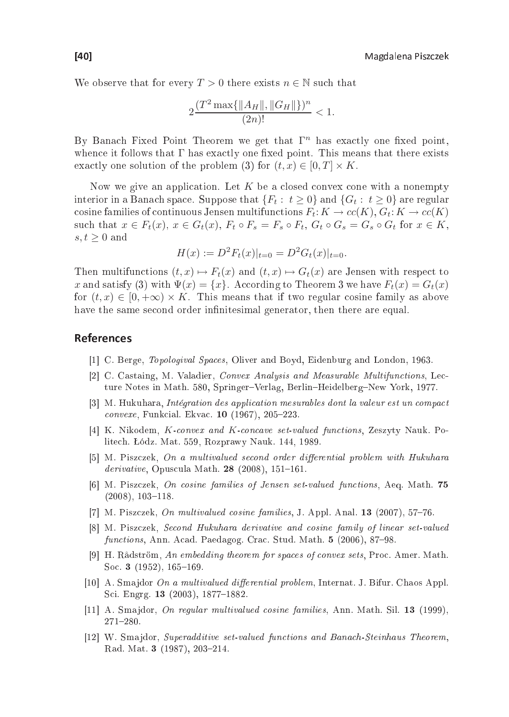We observe that for every  $T > 0$  there exists  $n \in \mathbb{N}$  such that

$$
2\frac{(T^2 \max\{\|A_H\|,\|G_H\|\})^n}{(2n)!} < 1.
$$

By Banach Fixed Point Theorem we get that  $\Gamma^n$  has exactly one fixed point, whence it follows that  $\Gamma$  has exactly one fixed point. This means that there exists exactly one solution of the problem (3) for  $(t, x) \in [0, T] \times K$ .

Now we give an application. Let K be a closed convex cone with a nonempty interior in a Banach space. Suppose that  ${F_t : t > 0}$  and  ${G_t : t > 0}$  are regular cosine families of continuous Jensen multifunctions  $F_t: K \to cc(K), G_t: K \to cc(K)$ such that  $x \in F_t(x)$ ,  $x \in G_t(x)$ ,  $F_t \circ F_s = F_s \circ F_t$ ,  $G_t \circ G_s = G_s \circ G_t$  for  $x \in K$ ,  $s, t \geq 0$  and

$$
H(x) := D^2 F_t(x)|_{t=0} = D^2 G_t(x)|_{t=0}.
$$

Then multifunctions  $(t, x) \mapsto F_t(x)$  and  $(t, x) \mapsto G_t(x)$  are Jensen with respect to x and satisfy (3) with  $\Psi(x) = \{x\}$ . According to Theorem 3 we have  $F_t(x) = G_t(x)$ for  $(t, x) \in [0, +\infty) \times K$ . This means that if two regular cosine family as above have the same second order infinitesimal generator, then there are equal.

#### **References**

- [1] C. Berge, *Topologival Spaces*, Oliver and Boyd, Eidenburg and London, 1963.
- [2] C. Castaing, M. Valadier, *Convex Analysis and Measurable Multifunctions*, Lecture Notes in Math. 580, Springer-Verlag, Berlin-Heidelberg-New York, 1977.
- $[3]$  M. Hukuhara, Intégration des application mesurables dont la valeur est un compact convexe, Funkcial. Ekvac. 10 (1967), 205-223.
- [4] K. Nikodem, K-convex and K-concave set-valued functions, Zeszyty Nauk. Polite
h. ódz. Mat. 559, Rozprawy Nauk. 144, 1989.
- [5] M. Piszczek, On a multivalued second order differential problem with Hukuhara  $derivative$ , Opuscula Math. 28 (2008), 151-161.
- [6] M. Piszczek, On cosine families of Jensen set-valued functions, Aeq. Math. 75  $(2008), 103-118.$
- [7] M. Piszczek, On multivalued cosine families, J. Appl. Anal.  $13$  (2007), 57-76.
- [8] M. Piszczek, Second Hukuhara derivative and cosine family of linear set-valued functions, Ann. Acad. Paedagog. Crac. Stud. Math. 5 (2006), 87-98.
- [9] H. Rådström, An embedding theorem for spaces of convex sets, Proc. Amer. Math. Soc. 3 (1952), 165-169.
- [10] A. Smajdor On a multivalued differential problem, Internat. J. Bifur. Chaos Appl. Sci. Engrg. 13 (2003), 1877–1882.
- [11] A. Smajdor, On regular multivalued cosine families, Ann. Math. Sil.  $13$  (1999),  $271 - 280.$
- [12] W. Smajdor, Superadditive set-valued functions and Banach-Steinhaus Theorem, Rad. Mat. 3 (1987), 203-214.